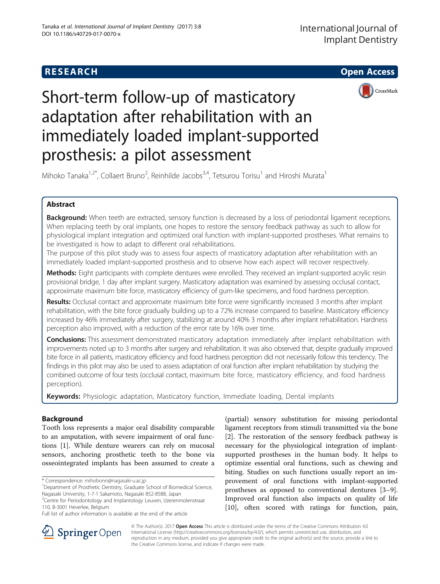

# Short-term follow-up of masticatory adaptation after rehabilitation with an immediately loaded implant-supported prosthesis: a pilot assessment

Mihoko Tanaka<sup>1,2\*</sup>, Collaert Bruno<sup>2</sup>, Reinhilde Jacobs<sup>3,4</sup>, Tetsurou Torisu<sup>1</sup> and Hiroshi Murata<sup>1</sup>

# Abstract

Background: When teeth are extracted, sensory function is decreased by a loss of periodontal ligament receptions. When replacing teeth by oral implants, one hopes to restore the sensory feedback pathway as such to allow for physiological implant integration and optimized oral function with implant-supported prostheses. What remains to be investigated is how to adapt to different oral rehabilitations.

The purpose of this pilot study was to assess four aspects of masticatory adaptation after rehabilitation with an immediately loaded implant-supported prosthesis and to observe how each aspect will recover respectively.

Methods: Eight participants with complete dentures were enrolled. They received an implant-supported acrylic resin provisional bridge, 1 day after implant surgery. Masticatory adaptation was examined by assessing occlusal contact, approximate maximum bite force, masticatory efficiency of gum-like specimens, and food hardness perception.

Results: Occlusal contact and approximate maximum bite force were significantly increased 3 months after implant rehabilitation, with the bite force gradually building up to a 72% increase compared to baseline. Masticatory efficiency increased by 46% immediately after surgery, stabilizing at around 40% 3 months after implant rehabilitation. Hardness perception also improved, with a reduction of the error rate by 16% over time.

Conclusions: This assessment demonstrated masticatory adaptation immediately after implant rehabilitation with improvements noted up to 3 months after surgery and rehabilitation. It was also observed that, despite gradually improved bite force in all patients, masticatory efficiency and food hardness perception did not necessarily follow this tendency. The findings in this pilot may also be used to assess adaptation of oral function after implant rehabilitation by studying the combined outcome of four tests (occlusal contact, maximum bite force, masticatory efficiency, and food hardness perception).

Keywords: Physiologic adaptation, Masticatory function, Immediate loading, Dental implants

# Background

Tooth loss represents a major oral disability comparable to an amputation, with severe impairment of oral functions [[1\]](#page-5-0). While denture wearers can rely on mucosal sensors, anchoring prosthetic teeth to the bone via osseointegrated implants has been assumed to create a

\* Correspondence: [mihobonn@nagasaki-u.ac.jp](mailto:mihobonn@nagasaki-u.ac.jp) <sup>1</sup>

<sup>1</sup>Department of Prosthetic Dentistry, Graduate School of Biomedical Science, Nagasaki University, 1-7-1 Sakamoto, Nagasaki 852-8588, Japan

(partial) sensory substitution for missing periodontal ligament receptors from stimuli transmitted via the bone [[2\]](#page-5-0). The restoration of the sensory feedback pathway is necessary for the physiological integration of implantsupported prostheses in the human body. It helps to optimize essential oral functions, such as chewing and biting. Studies on such functions usually report an improvement of oral functions with implant-supported prostheses as opposed to conventional dentures [\[3](#page-5-0)–[9](#page-5-0)]. Improved oral function also impacts on quality of life [[10\]](#page-5-0), often scored with ratings for function, pain,



© The Author(s). 2017 **Open Access** This article is distributed under the terms of the Creative Commons Attribution 4.0 International License ([http://creativecommons.org/licenses/by/4.0/\)](http://creativecommons.org/licenses/by/4.0/), which permits unrestricted use, distribution, and reproduction in any medium, provided you give appropriate credit to the original author(s) and the source, provide a link to the Creative Commons license, and indicate if changes were made.

<sup>&</sup>lt;sup>2</sup>Centre for Periodontology and Implantology Leuven, IJzerenmolenstraat 110, B-3001 Heverlee, Belgium

Full list of author information is available at the end of the article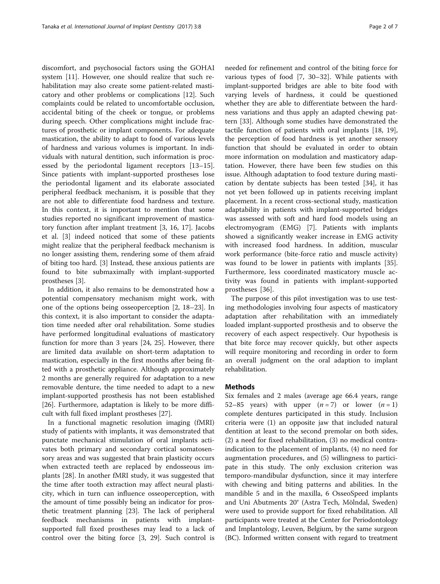discomfort, and psychosocial factors using the GOHAI system [[11\]](#page-5-0). However, one should realize that such rehabilitation may also create some patient-related masticatory and other problems or complications [\[12\]](#page-5-0). Such complaints could be related to uncomfortable occlusion, accidental biting of the cheek or tongue, or problems during speech. Other complications might include fractures of prosthetic or implant components. For adequate mastication, the ability to adapt to food of various levels of hardness and various volumes is important. In individuals with natural dentition, such information is processed by the periodontal ligament receptors [[13](#page-5-0)–[15](#page-5-0)]. Since patients with implant-supported prostheses lose the periodontal ligament and its elaborate associated peripheral feedback mechanism, it is possible that they are not able to differentiate food hardness and texture. In this context, it is important to mention that some studies reported no significant improvement of masticatory function after implant treatment [\[3](#page-5-0), [16, 17\]](#page-5-0). Jacobs et al. [[3](#page-5-0)] indeed noticed that some of these patients might realize that the peripheral feedback mechanism is no longer assisting them, rendering some of them afraid of biting too hard. [\[3](#page-5-0)] Instead, these anxious patients are found to bite submaximally with implant-supported prostheses [\[3](#page-5-0)].

In addition, it also remains to be demonstrated how a potential compensatory mechanism might work, with one of the options being osseoperception [\[2](#page-5-0), [18](#page-5-0)–[23\]](#page-5-0). In this context, it is also important to consider the adaptation time needed after oral rehabilitation. Some studies have performed longitudinal evaluations of masticatory function for more than 3 years [\[24](#page-5-0), [25\]](#page-5-0). However, there are limited data available on short-term adaptation to mastication, especially in the first months after being fitted with a prosthetic appliance. Although approximately 2 months are generally required for adaptation to a new removable denture, the time needed to adapt to a new implant-supported prosthesis has not been established [[26\]](#page-5-0). Furthermore, adaptation is likely to be more difficult with full fixed implant prostheses [\[27\]](#page-5-0).

In a functional magnetic resolution imaging (fMRI) study of patients with implants, it was demonstrated that punctate mechanical stimulation of oral implants activates both primary and secondary cortical somatosensory areas and was suggested that brain plasticity occurs when extracted teeth are replaced by endosseous implants [[28\]](#page-5-0). In another fMRI study, it was suggested that the time after tooth extraction may affect neural plasticity, which in turn can influence osseoperception, with the amount of time possibly being an indicator for prosthetic treatment planning [[23](#page-5-0)]. The lack of peripheral feedback mechanisms in patients with implantsupported full fixed prostheses may lead to a lack of control over the biting force [[3, 29](#page-5-0)]. Such control is

needed for refinement and control of the biting force for various types of food [\[7](#page-5-0), [30](#page-6-0)–[32\]](#page-6-0). While patients with implant-supported bridges are able to bite food with varying levels of hardness, it could be questioned whether they are able to differentiate between the hardness variations and thus apply an adapted chewing pattern [[33\]](#page-6-0). Although some studies have demonstrated the tactile function of patients with oral implants [\[18, 19](#page-5-0)], the perception of food hardness is yet another sensory function that should be evaluated in order to obtain more information on modulation and masticatory adaptation. However, there have been few studies on this issue. Although adaptation to food texture during mastication by dentate subjects has been tested [[34\]](#page-6-0), it has not yet been followed up in patients receiving implant placement. In a recent cross-sectional study, mastication adaptability in patients with implant-supported bridges was assessed with soft and hard food models using an electromyogram (EMG) [[7\]](#page-5-0). Patients with implants

showed a significantly weaker increase in EMG activity with increased food hardness. In addition, muscular work performance (bite-force ratio and muscle activity) was found to be lower in patients with implants [\[35](#page-6-0)]. Furthermore, less coordinated masticatory muscle activity was found in patients with implant-supported prostheses [\[36](#page-6-0)].

The purpose of this pilot investigation was to use testing methodologies involving four aspects of masticatory adaptation after rehabilitation with an immediately loaded implant-supported prosthesis and to observe the recovery of each aspect respectively. Our hypothesis is that bite force may recover quickly, but other aspects will require monitoring and recording in order to form an overall judgment on the oral adaption to implant rehabilitation.

# **Methods**

Six females and 2 males (average age 66.4 years, range 52–85 years) with upper  $(n=7)$  or lower  $(n=1)$ complete dentures participated in this study. Inclusion criteria were (1) an opposite jaw that included natural dentition at least to the second premolar on both sides, (2) a need for fixed rehabilitation, (3) no medical contraindication to the placement of implants, (4) no need for augmentation procedures, and (5) willingness to participate in this study. The only exclusion criterion was temporo-mandibular dysfunction, since it may interfere with chewing and biting patterns and abilities. In the mandible 5 and in the maxilla, 6 OsseoSpeed implants and Uni Abutments 20° (Astra Tech, Mölndal, Sweden) were used to provide support for fixed rehabilitation. All participants were treated at the Center for Periodontology and Implantology, Leuven, Belgium, by the same surgeon (BC). Informed written consent with regard to treatment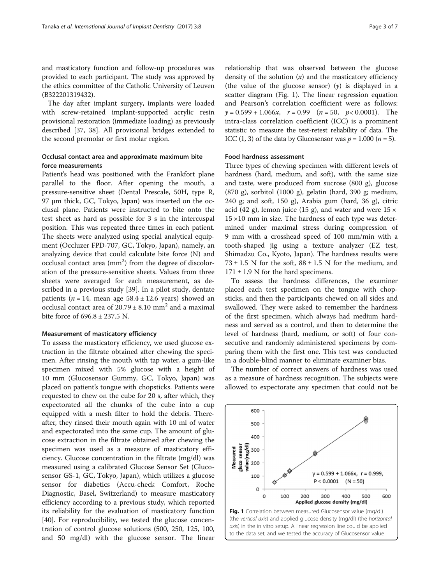and masticatory function and follow-up procedures was provided to each participant. The study was approved by the ethics committee of the Catholic University of Leuven (B322201319432).

The day after implant surgery, implants were loaded with screw-retained implant-supported acrylic resin provisional restoration (immediate loading) as previously described [\[37](#page-6-0), [38\]](#page-6-0). All provisional bridges extended to the second premolar or first molar region.

# Occlusal contact area and approximate maximum bite force measurements

Patient's head was positioned with the Frankfort plane parallel to the floor. After opening the mouth, a pressure-sensitive sheet (Dental Prescale, 50H, type R, 97 μm thick, GC, Tokyo, Japan) was inserted on the occlusal plane. Patients were instructed to bite onto the test sheet as hard as possible for 3 s in the intercuspal position. This was repeated three times in each patient. The sheets were analyzed using special analytical equipment (Occluzer FPD-707, GC, Tokyo, Japan), namely, an analyzing device that could calculate bite force (N) and occlusal contact area (mm<sup>2</sup>) from the degree of discoloration of the pressure-sensitive sheets. Values from three sheets were averaged for each measurement, as described in a previous study [[39\]](#page-6-0). In a pilot study, dentate patients ( $n = 14$ , mean age 58.4 ± 12.6 years) showed an occlusal contact area of  $20.79 \pm 8.10$  mm<sup>2</sup> and a maximal bite force of 696.8 ± 237.5 N.

#### Measurement of masticatory efficiency

To assess the masticatory efficiency, we used glucose extraction in the filtrate obtained after chewing the specimen. After rinsing the mouth with tap water, a gum-like specimen mixed with 5% glucose with a height of 10 mm (Glucosensor Gummy, GC, Tokyo, Japan) was placed on patient's tongue with chopsticks. Patients were requested to chew on the cube for 20 s, after which, they expectorated all the chunks of the cube into a cup equipped with a mesh filter to hold the debris. Thereafter, they rinsed their mouth again with 10 ml of water and expectorated into the same cup. The amount of glucose extraction in the filtrate obtained after chewing the specimen was used as a measure of masticatory efficiency. Glucose concentration in the filtrate (mg/dl) was measured using a calibrated Glucose Sensor Set (Glucosensor GS-1, GC, Tokyo, Japan), which utilizes a glucose sensor for diabetics (Accu-check Comfort, Roche Diagnostic, Basel, Switzerland) to measure masticatory efficiency according to a previous study, which reported its reliability for the evaluation of masticatory function [[40\]](#page-6-0). For reproducibility, we tested the glucose concentration of control glucose solutions (500, 250, 125, 100, and 50 mg/dl) with the glucose sensor. The linear

relationship that was observed between the glucose density of the solution  $(x)$  and the masticatory efficiency (the value of the glucose sensor)  $(y)$  is displayed in a scatter diagram (Fig. 1). The linear regression equation and Pearson's correlation coefficient were as follows:  $y = 0.599 + 1.066x$ ,  $r = 0.99$   $(n = 50, p < 0.0001)$ . The intra-class correlation coefficient (ICC) is a prominent statistic to measure the test-retest reliability of data. The ICC  $(1, 3)$  of the data by Glucosensor was  $p = 1.000$   $(n = 5)$ .

### Food hardness assessment

Three types of chewing specimen with different levels of hardness (hard, medium, and soft), with the same size and taste, were produced from sucrose (800 g), glucose (870 g), sorbitol (1000 g), gelatin (hard, 390 g; medium, 240 g; and soft, 150 g), Arabia gum (hard, 36 g), citric acid (42 g), lemon juice (15 g), and water and were  $15 \times$  $15 \times 10$  mm in size. The hardness of each type was determined under maximal stress during compression of 9 mm with a crosshead speed of 100 mm/min with a tooth-shaped jig using a texture analyzer (EZ test, Shimadzu Co., Kyoto, Japan). The hardness results were  $73 \pm 1.5$  N for the soft,  $88 \pm 1.5$  N for the medium, and  $171 \pm 1.9$  N for the hard specimens.

To assess the hardness differences, the examiner placed each test specimen on the tongue with chopsticks, and then the participants chewed on all sides and swallowed. They were asked to remember the hardness of the first specimen, which always had medium hardness and served as a control, and then to determine the level of hardness (hard, medium, or soft) of four consecutive and randomly administered specimens by comparing them with the first one. This test was conducted in a double-blind manner to eliminate examiner bias.

The number of correct answers of hardness was used as a measure of hardness recognition. The subjects were allowed to expectorate any specimen that could not be

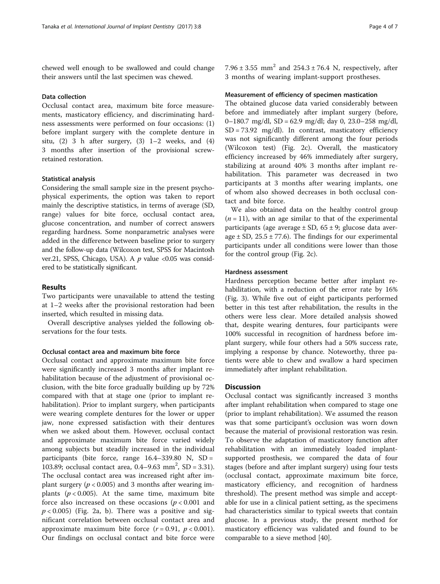chewed well enough to be swallowed and could change their answers until the last specimen was chewed.

# Data collection

Occlusal contact area, maximum bite force measurements, masticatory efficiency, and discriminating hardness assessments were performed on four occasions: (1) before implant surgery with the complete denture in situ,  $(2)$  3 h after surgery,  $(3)$  1–2 weeks, and  $(4)$ 3 months after insertion of the provisional screwretained restoration.

#### Statistical analysis

Considering the small sample size in the present psychophysical experiments, the option was taken to report mainly the descriptive statistics, in terms of average (SD, range) values for bite force, occlusal contact area, glucose concentration, and number of correct answers regarding hardness. Some nonparametric analyses were added in the difference between baseline prior to surgery and the follow-up data (Wilcoxon test, SPSS for Macintosh ver.21, SPSS, Chicago, USA). A  $p$  value <0.05 was considered to be statistically significant.

# Results

Two participants were unavailable to attend the testing at 1–2 weeks after the provisional restoration had been inserted, which resulted in missing data.

Overall descriptive analyses yielded the following observations for the four tests.

#### Occlusal contact area and maximum bite force

Occlusal contact and approximate maximum bite force were significantly increased 3 months after implant rehabilitation because of the adjustment of provisional occlusion, with the bite force gradually building up by 72% compared with that at stage one (prior to implant rehabilitation). Prior to implant surgery, when participants were wearing complete dentures for the lower or upper jaw, none expressed satisfaction with their dentures when we asked about them. However, occlusal contact and approximate maximum bite force varied widely among subjects but steadily increased in the individual participants (bite force, range 16.4–339.80 N, SD = 103.89; occlusal contact area,  $0.4-9.63$  mm<sup>2</sup>, SD = 3.31). The occlusal contact area was increased right after implant surgery ( $p < 0.005$ ) and 3 months after wearing implants ( $p < 0.005$ ). At the same time, maximum bite force also increased on these occasions  $(p < 0.001$  and  $p < 0.005$ ) (Fig. [2a, b](#page-4-0)). There was a positive and significant correlation between occlusal contact area and approximate maximum bite force  $(r = 0.91, p < 0.001)$ . Our findings on occlusal contact and bite force were 7.96  $\pm$  3.55 mm<sup>2</sup> and 254.3  $\pm$  76.4 N, respectively, after 3 months of wearing implant-support prostheses.

#### Measurement of efficiency of specimen mastication

The obtained glucose data varied considerably between before and immediately after implant surgery (before, 0–180.7 mg/dl, SD = 62.9 mg/dl; day 0, 23.0–258 mg/dl,  $SD = 73.92$  mg/dl). In contrast, masticatory efficiency was not significantly different among the four periods (Wilcoxon test) (Fig. [2c\)](#page-4-0). Overall, the masticatory efficiency increased by 46% immediately after surgery, stabilizing at around 40% 3 months after implant rehabilitation. This parameter was decreased in two participants at 3 months after wearing implants, one of whom also showed decreases in both occlusal contact and bite force.

We also obtained data on the healthy control group  $(n = 11)$ , with an age similar to that of the experimental participants (age average  $\pm$  SD, 65  $\pm$  9; glucose data average  $\pm$  SD, 25.5  $\pm$  77.6). The findings for our experimental participants under all conditions were lower than those for the control group (Fig. [2c\)](#page-4-0).

# Hardness assessment

Hardness perception became better after implant rehabilitation, with a reduction of the error rate by 16% (Fig. [3\)](#page-4-0). While five out of eight participants performed better in this test after rehabilitation, the results in the others were less clear. More detailed analysis showed that, despite wearing dentures, four participants were 100% successful in recognition of hardness before implant surgery, while four others had a 50% success rate, implying a response by chance. Noteworthy, three patients were able to chew and swallow a hard specimen immediately after implant rehabilitation.

# **Discussion**

Occlusal contact was significantly increased 3 months after implant rehabilitation when compared to stage one (prior to implant rehabilitation). We assumed the reason was that some participant's occlusion was worn down because the material of provisional restoration was resin. To observe the adaptation of masticatory function after rehabilitation with an immediately loaded implantsupported prosthesis, we compared the data of four stages (before and after implant surgery) using four tests (occlusal contact, approximate maximum bite force, masticatory efficiency, and recognition of hardness threshold). The present method was simple and acceptable for use in a clinical patient setting, as the specimens had characteristics similar to typical sweets that contain glucose. In a previous study, the present method for masticatory efficiency was validated and found to be comparable to a sieve method [[40\]](#page-6-0).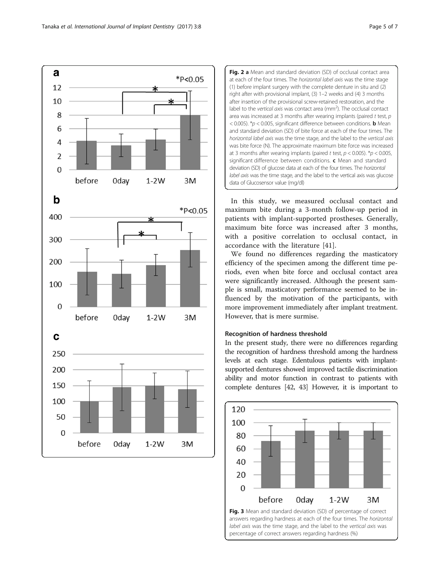<span id="page-4-0"></span>

Fig. 2 a Mean and standard deviation (SD) of occlusal contact area at each of the four times. The horizontal label axis was the time stage (1) before implant surgery with the complete denture in situ and (2) right after with provisional implant, (3) 1–2 weeks and (4) 3 months after insertion of the provisional screw-retained restoration, and the label to the vertical axis was contact area  $\text{(mm}^2)$ . The occlusal contact area was increased at 3 months after wearing implants (paired  $t$  test,  $p$  $<$  0.005). \* $p$  < 0.005, significant difference between conditions. **b** Mean and standard deviation (SD) of bite force at each of the four times. The horizontal label axis was the time stage, and the label to the vertical axis was bite force (N). The approximate maximum bite force was increased at 3 months after wearing implants (paired t test,  $p < 0.005$ ). \* $p < 0.005$ , significant difference between conditions.  $c$  Mean and standard deviation (SD) of glucose data at each of the four times. The horizontal label axis was the time stage, and the label to the vertical axis was glucose data of Glucosensor value (mg/dl)

In this study, we measured occlusal contact and maximum bite during a 3-month follow-up period in patients with implant-supported prostheses. Generally, maximum bite force was increased after 3 months, with a positive correlation to occlusal contact, in accordance with the literature [[41\]](#page-6-0).

We found no differences regarding the masticatory efficiency of the specimen among the different time periods, even when bite force and occlusal contact area were significantly increased. Although the present sample is small, masticatory performance seemed to be influenced by the motivation of the participants, with more improvement immediately after implant treatment. However, that is mere surmise.

## Recognition of hardness threshold

In the present study, there were no differences regarding the recognition of hardness threshold among the hardness levels at each stage. Edentulous patients with implantsupported dentures showed improved tactile discrimination ability and motor function in contrast to patients with complete dentures [\[42](#page-6-0), [43](#page-6-0)] However, it is important to



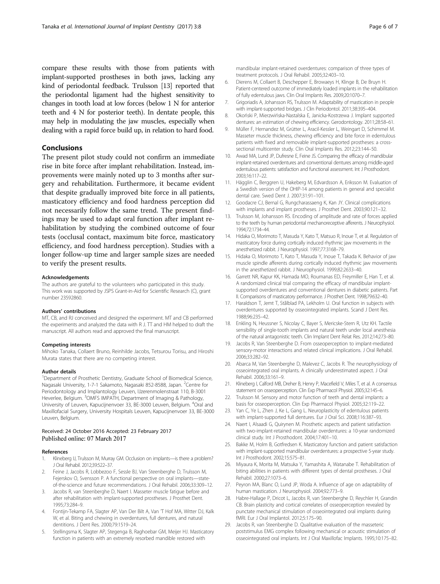<span id="page-5-0"></span>compare these results with those from patients with implant-supported prostheses in both jaws, lacking any kind of periodontal feedback. Trulsson [13] reported that the periodontal ligament had the highest sensitivity to changes in tooth load at low forces (below 1 N for anterior teeth and 4 N for posterior teeth). In dentate people, this may help in modulating the jaw muscles, especially when dealing with a rapid force build up, in relation to hard food.

# Conclusions

The present pilot study could not confirm an immediate rise in bite force after implant rehabilitation. Instead, improvements were mainly noted up to 3 months after surgery and rehabilitation. Furthermore, it became evident that despite gradually improved bite force in all patients, masticatory efficiency and food hardness perception did not necessarily follow the same trend. The present findings may be used to adapt oral function after implant rehabilitation by studying the combined outcome of four tests (occlusal contact, maximum bite force, masticatory efficiency, and food hardness perception). Studies with a longer follow-up time and larger sample sizes are needed to verify the present results.

#### Acknowledgements

The authors are grateful to the volunteers who participated in this study. This work was supported by JSPS Grant-in-Aid for Scientific Research (C), grant number 23592860.

#### Authors' contributions

MT, CB, and RJ conceived and designed the experiment. MT and CB performed the experiments and analyzed the data with R J. TT and HM helped to draft the manuscript. All authors read and approved the final manuscript.

#### Competing interests

Mihoko Tanaka, Collaert Bruno, Reinhilde Jacobs, Tetsurou Torisu, and Hiroshi Murata states that there are no competing interest.

#### Author details

<sup>1</sup>Department of Prosthetic Dentistry, Graduate School of Biomedical Science, Nagasaki University, 1-7-1 Sakamoto, Nagasaki 852-8588, Japan. <sup>2</sup>Centre for Periodontology and Implantology Leuven, IJzerenmolenstraat 110, B-3001 Heverlee, Belgium. <sup>3</sup>OMFS IMPATH, Department of Imaging & Pathology, University of Leuven, Kapucijnenvoer 33, BE-3000 Leuven, Belgium. <sup>4</sup>Oral and Maxillofacial Surgery, University Hospitals Leuven, Kapucijnenvoer 33, BE-3000 Leuven, Belgium.

#### Received: 24 October 2016 Accepted: 23 February 2017 Published online: 07 March 2017

#### References

- Klineberg IJ, Trulsson M, Murray GM. Occlusion on implants—is there a problem? J Oral Rehabil. 2012;39:522–37.
- Feine J, Jacobs R, Lobbezoo F, Sessle BJ, Van Steenberghe D, Trulsson M, Fejerskov O, Svensson P. A functional perspective on oral implants—stateof-the-science and future recommendations. J Oral Rehabil. 2006;33:309–12.
- 3. Jacobs R, van Steenberghe D, Naert I. Masseter muscle fatigue before and after rehabilitation with implant-supported prostheses. J Prosthet Dent. 1995;73:284–9.
- 4. Fontijn-Tekamp FA, Slagter AP, Van Der Bilt A, Van 'T Hof MA, Witter DJ, Kalk W, et al. Biting and chewing in overdentures, full dentures, and natural dentitions. J Dent Res. 2000;79:1519–24.
- 5. Stellingsma K, Slagter AP, Stegenga B, Raghoebar GM, Meijer HJ. Masticatory function in patients with an extremely resorbed mandible restored with

mandibular implant-retained overdentures: comparison of three types of treatment protocols. J Oral Rehabil. 2005;32:403–10.

- 6. Dierens M, Collaert B, Deschepper E, Browaeys H, Klinge B, De Bruyn H. Patient-centered outcome of immediately loaded implants in the rehabilitation of fully edentulous jaws. Clin Oral Implants Res. 2009;20:1070–7.
- 7. Grigoriadis A, Johansson RS, Trulsson M. Adaptability of mastication in people with implant-supported bridges. J Clin Periodontol. 2011;38:395–404.
- 8. Okoński P, Mierzwińska-Nastalska E, Janicka-Kostrzewa J. Implant supported dentures: an estimation of chewing efficiency. Gerodontology. 2011;28:58–61.
- 9. Müller F, Hernandez M, Grütter L, Aracil-Kessler L, Weingart D, Schimmel M. Masseter muscle thickness, chewing efficiency and bite force in edentulous patients with fixed and removable implant-supported prostheses: a crosssectional multicenter study. Clin Oral Implants Res. 2012;23:144–50.
- 10. Awad MA, Lund JP, Dufresne E, Feine JS. Comparing the efficacy of mandibular implant-retained overdentures and conventional dentures among middle-aged edentulous patients: satisfaction and functional assessment. Int J Prosthodont. 2003;16:117–22.
- 11. Hägglin C, Berggren U, Hakeberg M, Edvardsson A, Eriksson M. Evaluation of a Swedish version of the OHIP-14 among patients in general and specialist dental care. Swed Dent J. 2007;31:91–101.
- 12. Goodacre CJ, Bernal G, Rungcharassaeng K, Kan JY. Clinical complications with implants and implant prostheses. J Prosthet Dent. 2003;90:121–32.
- 13. Trulsson M, Johansson RS. Encoding of amplitude and rate of forces applied to the teeth by human periodontal mechanoreceptive afferents. J Neurophysiol. 1994;72:1734–44.
- 14. Hidaka O, Morimoto T, Masuda Y, Kato T, Matsuo R, Inoue T, et al. Regulation of masticatory force during cortically induced rhythmic jaw movements in the anesthetized rabbit. J Neurophysiol. 1997;77:3168–79.
- 15. Hidaka O, Morimoto T, Kato T, Masuda Y, Inoue T, Takada K. Behavior of jaw muscle spindle afferents during cortically induced rhythmic jaw movements in the anesthetized rabbit. J Neurophysiol. 1999;82:2633–40.
- 16. Garrett NR, Kapur KK, Hamada MO, Roumanas ED, Freymiller E, Han T, et al. A randomized clinical trial comparing the efficacy of mandibular implantsupported overdentures and conventional dentures in diabetic patients. Part II. Comparisons of masticatory performance. J Prosthet Dent. 1998;79:632–40.
- 17. Haraldson T, Jemt T, Stålblad PA, Lekholm U. Oral function in subjects with overdentures supported by osseointegrated implants. Scand J Dent Res. 1988;96:235–42.
- 18. Enkling N, Heussner S, Nicolay C, Bayer S, Mericske-Stern R, Utz KH. Tactile sensibility of single-tooth implants and natural teeth under local anesthesia of the natural antagonistic teeth. Clin Implant Dent Relat Res. 2012;14:273–80.
- 19. Jacobs R, Van Steenberghe D. From osseoperception to implant-mediated sensory-motor interactions and related clinical implications. J Oral Rehabil. 2006;33:282–92.
- 20. Abarca M, Van Steenberghe D, Malevez C, Jacobs R. The neurophysiology of osseointegrated oral implants. A clinically underestimated aspect. J Oral Rehabil. 2006;33:161–9.
- 21. Klineberg I, Calford MB, Dreher B, Henry P, Macefield V, Miles T, et al. A consensus statement on osseoperception. Clin Exp Pharmacol Physiol. 2005;32:145–6.
- 22. Trulsson M. Sensory and motor function of teeth and dental implants: a basis for osseoperception. Clin Exp Pharmacol Physiol. 2005;32:119–22.
- 23. Yan C, Ye L, Zhen J, Ke L, Gang L. Neuroplasticity of edentulous patients with implant-supported full dentures. Eur J Oral Sci. 2008;116:387–93.
- 24. Naert I, Alsaadi G, Quirynen M. Prosthetic aspects and patient satisfaction with two-implant-retained mandibular overdentures: a 10-year randomized clinical study. Int J Prosthodont. 2004;17:401–10.
- 25. Bakke M, Holm B, Gotfredsen K. Masticatory function and patient satisfaction with implant-supported mandibular overdentures: a prospective 5-year study. Int J Prosthodont. 2002;15:575–81.
- 26. Miyaura K, Morita M, Matsuka Y, Yamashita A, Watanabe T. Rehabilitation of biting abilities in patients with different types of dental prostheses. J Oral Rehabil. 2000;27:1073–6.
- 27. Peyron MA, Blanc O, Lund JP, Woda A. Influence of age on adaptability of human mastication. J Neurophysiol. 2004;92:773–9.
- 28. Habre-Hallage P, Dricot L, Jacobs R, van Steenberghe D, Reychler H, Grandin CB. Brain plasticity and cortical correlates of osseoperception revealed by punctate mechanical stimulation of osseointegrated oral implants during fMRI. Eur J Oral Implantol. 2012;5:175–90.
- 29. Jacobs R, van Steenberghe D. Qualitative evaluation of the masseteric poststimulus EMG complex following mechanical or acoustic stimulation of osseointegrated oral implants. Int J Oral Maxillofac Implants. 1995;10:175–82.